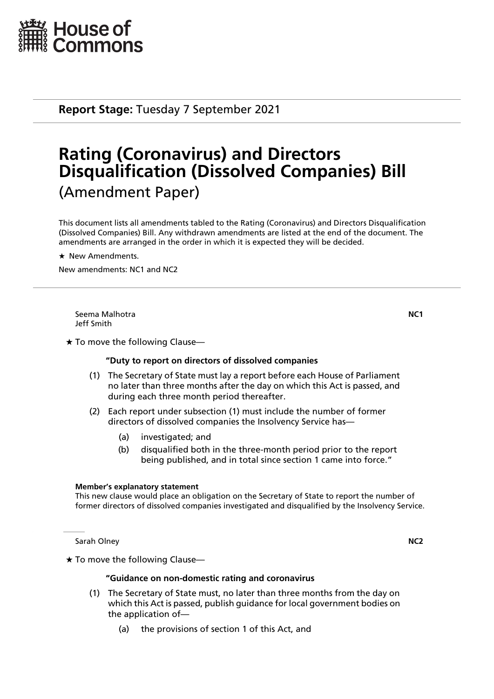

**Report Stage:** Tuesday 7 September 2021

# **Rating (Coronavirus) and Directors Disqualification (Dissolved Companies) Bill** (Amendment Paper)

This document lists all amendments tabled to the Rating (Coronavirus) and Directors Disqualification (Dissolved Companies) Bill. Any withdrawn amendments are listed at the end of the document. The amendments are arranged in the order in which it is expected they will be decided.

 $\star$  New Amendments.

New amendments: NC1 and NC2

Seema Malhotra **NC1** Jeff Smith

 $\star$  To move the following Clause—

# **"Duty to report on directors of dissolved companies**

- (1) The Secretary of State must lay a report before each House of Parliament no later than three months after the day on which this Act is passed, and during each three month period thereafter.
- (2) Each report under subsection (1) must include the number of former directors of dissolved companies the Insolvency Service has—
	- (a) investigated; and
	- (b) disqualified both in the three-month period prior to the report being published, and in total since section 1 came into force."

# **Member's explanatory statement**

This new clause would place an obligation on the Secretary of State to report the number of former directors of dissolved companies investigated and disqualified by the Insolvency Service.

Sarah Olney **NC2**

 $\star$  To move the following Clause-

# **"Guidance on non-domestic rating and coronavirus**

- (1) The Secretary of State must, no later than three months from the day on which this Act is passed, publish guidance for local government bodies on the application of—
	- (a) the provisions of section 1 of this Act, and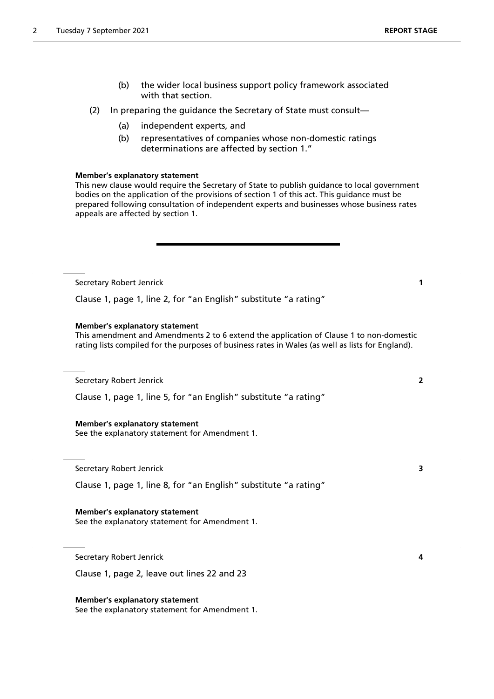- (2) In preparing the guidance the Secretary of State must consult—
	- (a) independent experts, and
	- (b) representatives of companies whose non-domestic ratings determinations are affected by section 1."

#### **Member's explanatory statement**

This new clause would require the Secretary of State to publish guidance to local government bodies on the application of the provisions of section 1 of this act. This guidance must be prepared following consultation of independent experts and businesses whose business rates appeals are affected by section 1.

Secretary Robert Jenrick **1**

Clause 1, page 1, line 2, for "an English" substitute "a rating"

#### **Member's explanatory statement**

This amendment and Amendments 2 to 6 extend the application of Clause 1 to non-domestic rating lists compiled for the purposes of business rates in Wales (as well as lists for England).

Secretary Robert Jenrick **2**

Clause 1, page 1, line 5, for "an English" substitute "a rating"

# **Member's explanatory statement**

See the explanatory statement for Amendment 1.

Secretary Robert Jenrick **3**

Clause 1, page 1, line 8, for "an English" substitute "a rating"

**Member's explanatory statement** See the explanatory statement for Amendment 1.

Secretary Robert Jenrick **4**

Clause 1, page 2, leave out lines 22 and 23

**Member's explanatory statement** See the explanatory statement for Amendment 1.